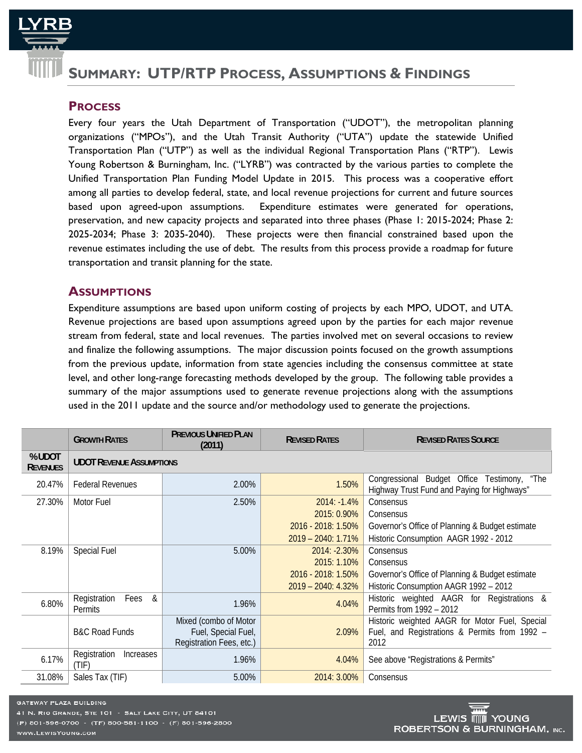

# **SUMMARY: UTP/RTP PROCESS, ASSUMPTIONS & FINDINGS**

# **PROCESS**

Every four years the Utah Department of Transportation ("UDOT"), the metropolitan planning organizations ("MPOs"), and the Utah Transit Authority ("UTA") update the statewide Unified Transportation Plan ("UTP") as well as the individual Regional Transportation Plans ("RTP"). Lewis Young Robertson & Burningham, Inc. ("LYRB") was contracted by the various parties to complete the Unified Transportation Plan Funding Model Update in 2015. This process was a cooperative effort among all parties to develop federal, state, and local revenue projections for current and future sources based upon agreed-upon assumptions. Expenditure estimates were generated for operations, preservation, and new capacity projects and separated into three phases (Phase 1: 2015-2024; Phase 2: 2025-2034; Phase 3: 2035-2040). These projects were then financial constrained based upon the revenue estimates including the use of debt. The results from this process provide a roadmap for future transportation and transit planning for the state.

# **ASSUMPTIONS**

Expenditure assumptions are based upon uniform costing of projects by each MPO, UDOT, and UTA. Revenue projections are based upon assumptions agreed upon by the parties for each major revenue stream from federal, state and local revenues. The parties involved met on several occasions to review and finalize the following assumptions. The major discussion points focused on the growth assumptions from the previous update, information from state agencies including the consensus committee at state level, and other long-range forecasting methods developed by the group. The following table provides a summary of the major assumptions used to generate revenue projections along with the assumptions used in the 2011 update and the source and/or methodology used to generate the projections.

|                           | <b>GROWTH RATES</b>                  | <b>PREVIOUS UNIFIED PLAN</b><br>(2011)                                   | <b>REVISED RATES</b> | <b>REVISED RATES SOURCE</b>                                                                             |
|---------------------------|--------------------------------------|--------------------------------------------------------------------------|----------------------|---------------------------------------------------------------------------------------------------------|
| % UDOT<br><b>REVENUES</b> | <b>UDOT REVENUE ASSUMPTIONS</b>      |                                                                          |                      |                                                                                                         |
| 20.47%                    | <b>Federal Revenues</b>              | 2.00%                                                                    | 1.50%                | Congressional Budget Office Testimony,<br>"The<br>Highway Trust Fund and Paying for Highways"           |
| 27.30%                    | Motor Fuel                           | 2.50%                                                                    | $2014: -1.4%$        | Consensus                                                                                               |
|                           |                                      |                                                                          | 2015: 0.90%          | Consensus                                                                                               |
|                           |                                      |                                                                          | 2016 - 2018: 1.50%   | Governor's Office of Planning & Budget estimate                                                         |
|                           |                                      |                                                                          | 2019 - 2040: 1.71%   | Historic Consumption AAGR 1992 - 2012                                                                   |
| 8.19%                     | <b>Special Fuel</b>                  | 5.00%                                                                    | 2014: -2.30%         | Consensus                                                                                               |
|                           |                                      |                                                                          | 2015: 1.10%          | Consensus                                                                                               |
|                           |                                      |                                                                          | 2016 - 2018: 1.50%   | Governor's Office of Planning & Budget estimate                                                         |
|                           |                                      |                                                                          | 2019 - 2040: 4.32%   | Historic Consumption AAGR 1992 - 2012                                                                   |
| 6.80%                     | Registration<br>Fees<br>&<br>Permits | 1.96%                                                                    | 4.04%                | Historic weighted AAGR for Registrations &<br>Permits from 1992 - 2012                                  |
|                           | <b>B&amp;C Road Funds</b>            | Mixed (combo of Motor<br>Fuel, Special Fuel,<br>Registration Fees, etc.) | 2.09%                | Historic weighted AAGR for Motor Fuel, Special<br>Fuel, and Registrations & Permits from 1992 -<br>2012 |
| 6.17%                     | Registration<br>Increases<br>(TIF)   | 1.96%                                                                    | 4.04%                | See above "Registrations & Permits"                                                                     |
| 31.08%                    | Sales Tax (TIF)                      | 5.00%                                                                    | 2014: 3.00%          | Consensus                                                                                               |

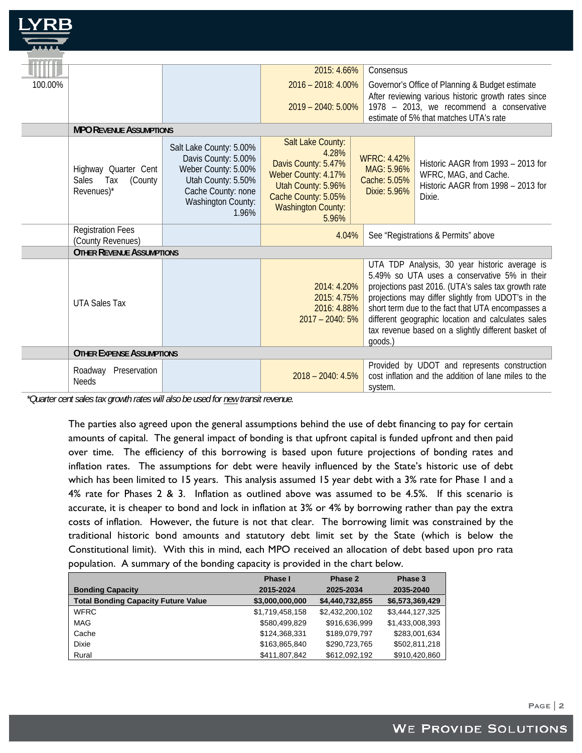| TE ET T |                                                            |                                                                                                                                                  |                                                                                                                                                             |                                                                                                                                                                                                                                                                                                                                                                                         |                                                                                                             |
|---------|------------------------------------------------------------|--------------------------------------------------------------------------------------------------------------------------------------------------|-------------------------------------------------------------------------------------------------------------------------------------------------------------|-----------------------------------------------------------------------------------------------------------------------------------------------------------------------------------------------------------------------------------------------------------------------------------------------------------------------------------------------------------------------------------------|-------------------------------------------------------------------------------------------------------------|
|         |                                                            |                                                                                                                                                  | 2015: 4.66%                                                                                                                                                 | Consensus                                                                                                                                                                                                                                                                                                                                                                               |                                                                                                             |
| 100.00% |                                                            |                                                                                                                                                  | 2016 - 2018: 4.00%                                                                                                                                          |                                                                                                                                                                                                                                                                                                                                                                                         | Governor's Office of Planning & Budget estimate                                                             |
|         |                                                            |                                                                                                                                                  | $2019 - 2040$ : 5.00%                                                                                                                                       |                                                                                                                                                                                                                                                                                                                                                                                         | After reviewing various historic growth rates since<br>1978 – 2013, we recommend a conservative             |
|         |                                                            |                                                                                                                                                  |                                                                                                                                                             |                                                                                                                                                                                                                                                                                                                                                                                         | estimate of 5% that matches UTA's rate                                                                      |
|         | <b>MPO REVENUE ASSUMPTIONS</b>                             |                                                                                                                                                  |                                                                                                                                                             |                                                                                                                                                                                                                                                                                                                                                                                         |                                                                                                             |
|         | Highway Quarter Cent<br>Sales Tax<br>(County<br>Revenues)* | Salt Lake County: 5.00%<br>Davis County: 5.00%<br>Weber County: 5.00%<br>Utah County: 5.50%<br>Cache County: none<br>Washington County:<br>1.96% | Salt Lake County:<br>4.28%<br>Davis County: 5.47%<br>Weber County: 4.17%<br>Utah County: 5.96%<br>Cache County: 5.05%<br><b>Washington County:</b><br>5.96% | <b>WFRC: 4.42%</b><br>MAG: 5.96%<br>Cache: 5.05%<br>Dixie: 5.96%                                                                                                                                                                                                                                                                                                                        | Historic AAGR from 1993 - 2013 for<br>WFRC, MAG, and Cache.<br>Historic AAGR from 1998 - 2013 for<br>Dixie. |
|         | <b>Registration Fees</b><br>(County Revenues)              |                                                                                                                                                  | 4.04%                                                                                                                                                       |                                                                                                                                                                                                                                                                                                                                                                                         | See "Registrations & Permits" above                                                                         |
|         | <b>OTHER REVENUE ASSUMPTIONS</b>                           |                                                                                                                                                  |                                                                                                                                                             |                                                                                                                                                                                                                                                                                                                                                                                         |                                                                                                             |
|         | <b>UTA Sales Tax</b>                                       |                                                                                                                                                  | 2014: 4.20%<br>2015: 4.75%<br>2016: 4.88%<br>$2017 - 2040:5%$                                                                                               | UTA TDP Analysis, 30 year historic average is<br>5.49% so UTA uses a conservative 5% in their<br>projections past 2016. (UTA's sales tax growth rate<br>projections may differ slightly from UDOT's in the<br>short term due to the fact that UTA encompasses a<br>different geographic location and calculates sales<br>tax revenue based on a slightly different basket of<br>goods.) |                                                                                                             |
|         | <b>OTHER EXPENSE ASSUMPTIONS</b>                           |                                                                                                                                                  |                                                                                                                                                             |                                                                                                                                                                                                                                                                                                                                                                                         |                                                                                                             |
|         | Preservation<br>Roadway<br><b>Needs</b>                    |                                                                                                                                                  | $2018 - 2040$ : 4.5%                                                                                                                                        | system.                                                                                                                                                                                                                                                                                                                                                                                 | Provided by UDOT and represents construction<br>cost inflation and the addition of lane miles to the        |

*\*Quarter cent sales tax growth rates will also be used for new transit revenue.* 

The parties also agreed upon the general assumptions behind the use of debt financing to pay for certain amounts of capital. The general impact of bonding is that upfront capital is funded upfront and then paid over time. The efficiency of this borrowing is based upon future projections of bonding rates and inflation rates. The assumptions for debt were heavily influenced by the State's historic use of debt which has been limited to 15 years. This analysis assumed 15 year debt with a 3% rate for Phase 1 and a 4% rate for Phases 2 & 3. Inflation as outlined above was assumed to be 4.5%. If this scenario is accurate, it is cheaper to bond and lock in inflation at 3% or 4% by borrowing rather than pay the extra costs of inflation. However, the future is not that clear. The borrowing limit was constrained by the traditional historic bond amounts and statutory debt limit set by the State (which is below the Constitutional limit). With this in mind, each MPO received an allocation of debt based upon pro rata population. A summary of the bonding capacity is provided in the chart below.

|                                            | Phase I         | Phase 2         | Phase 3         |
|--------------------------------------------|-----------------|-----------------|-----------------|
| <b>Bonding Capacity</b>                    | 2015-2024       | 2025-2034       | 2035-2040       |
| <b>Total Bonding Capacity Future Value</b> | \$3,000,000,000 | \$4,440,732,855 | \$6,573,369,429 |
| <b>WFRC</b>                                | \$1,719,458,158 | \$2.432.200.102 | \$3,444,127,325 |
| MAG                                        | \$580,499,829   | \$916,636,999   | \$1,433,008,393 |
| Cache                                      | \$124.368.331   | \$189,079,797   | \$283,001,634   |
| <b>Dixie</b>                               | \$163,865,840   | \$290,723,765   | \$502,811,218   |
| Rural                                      | \$411,807,842   | \$612,092,192   | \$910,420,860   |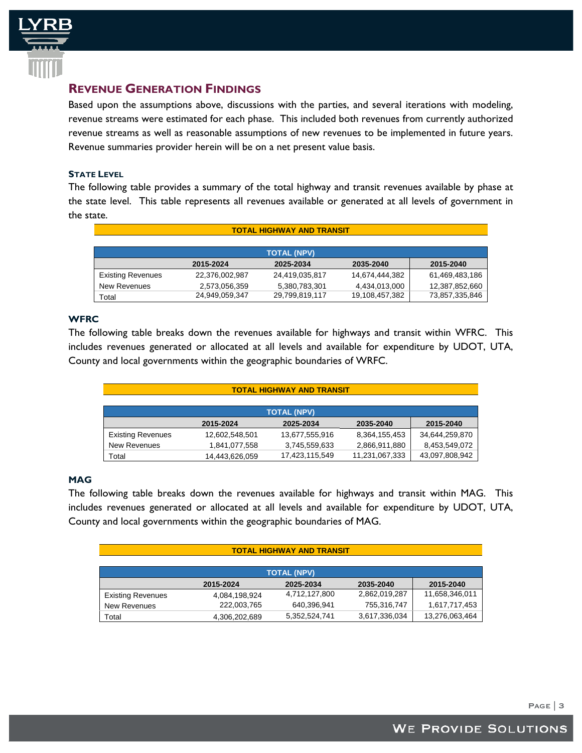

# **REVENUE GENERATION FINDINGS**

Based upon the assumptions above, discussions with the parties, and several iterations with modeling, revenue streams were estimated for each phase. This included both revenues from currently authorized revenue streams as well as reasonable assumptions of new revenues to be implemented in future years. Revenue summaries provider herein will be on a net present value basis.

## **STATE LEVEL**

The following table provides a summary of the total highway and transit revenues available by phase at the state level. This table represents all revenues available or generated at all levels of government in the state.

| <b>TOTAL HIGHWAY AND TRANSIT</b> |                    |                |                |                |  |  |
|----------------------------------|--------------------|----------------|----------------|----------------|--|--|
|                                  |                    |                |                |                |  |  |
|                                  | <b>TOTAL (NPV)</b> |                |                |                |  |  |
|                                  | 2015-2024          | 2025-2034      | 2035-2040      | 2015-2040      |  |  |
| <b>Existing Revenues</b>         | 22,376,002,987     | 24,419,035,817 | 14,674,444,382 | 61,469,483,186 |  |  |
| <b>New Revenues</b>              | 2,573,056,359      | 5,380,783,301  | 4,434,013,000  | 12,387,852,660 |  |  |
| Total                            | 24,949,059,347     | 29,799,819,117 | 19,108,457,382 | 73,857,335,846 |  |  |

# **WFRC**

The following table breaks down the revenues available for highways and transit within WFRC. This includes revenues generated or allocated at all levels and available for expenditure by UDOT, UTA, County and local governments within the geographic boundaries of WRFC.

| <b>TOTAL HIGHWAY AND TRANSIT</b> |                    |                |                |                |  |  |
|----------------------------------|--------------------|----------------|----------------|----------------|--|--|
|                                  |                    |                |                |                |  |  |
|                                  | <b>TOTAL (NPV)</b> |                |                |                |  |  |
|                                  | 2015-2024          | 2025-2034      | 2035-2040      | 2015-2040      |  |  |
| <b>Existing Revenues</b>         | 12,602,548,501     | 13,677,555,916 | 8,364,155,453  | 34,644,259,870 |  |  |
| New Revenues                     | 1,841,077,558      | 3,745,559,633  | 2,866,911,880  | 8,453,549,072  |  |  |
| Total                            | 14.443.626.059     | 17,423,115,549 | 11,231,067,333 | 43,097,808,942 |  |  |

## **MAG**

The following table breaks down the revenues available for highways and transit within MAG. This includes revenues generated or allocated at all levels and available for expenditure by UDOT, UTA, County and local governments within the geographic boundaries of MAG.

| <b>TOTAL HIGHWAY AND TRANSIT</b> |               |               |               |                |  |
|----------------------------------|---------------|---------------|---------------|----------------|--|
|                                  |               |               |               |                |  |
| <b>TOTAL (NPV)</b>               |               |               |               |                |  |
|                                  | 2015-2024     | 2025-2034     | 2035-2040     | 2015-2040      |  |
| <b>Existing Revenues</b>         | 4,084,198,924 | 4,712,127,800 | 2,862,019,287 | 11,658,346,011 |  |
| <b>New Revenues</b>              | 222,003,765   | 640,396,941   | 755,316,747   | 1,617,717,453  |  |
| Total                            | 4,306,202,689 | 5,352,524,741 | 3,617,336,034 | 13,276,063,464 |  |